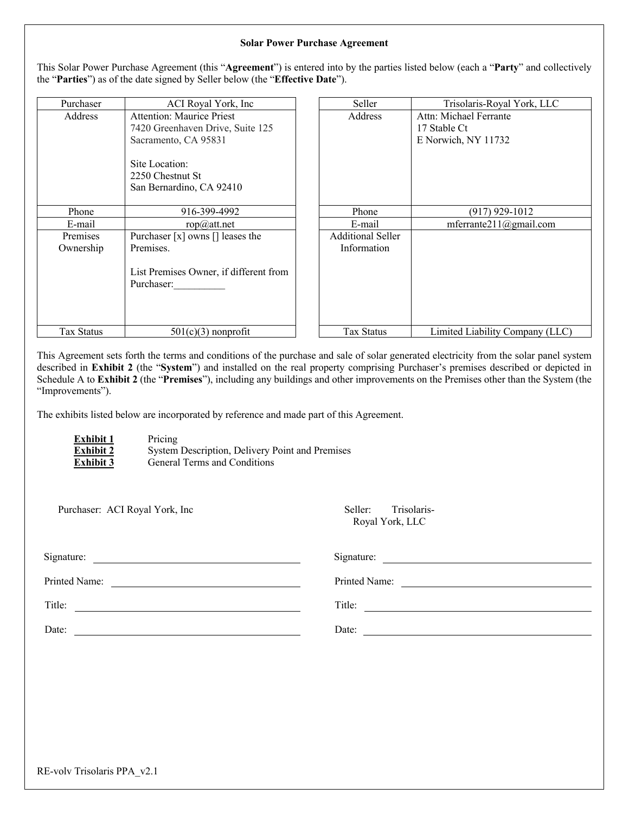#### **Solar Power Purchase Agreement**

This Solar Power Purchase Agreement (this "**Agreement**") is entered into by the parties listed below (each a "**Party**" and collectively the "**Parties**") as of the date signed by Seller below (the "**Effective Date**").

| Purchaser         | ACI Royal York, Inc                                            | Seller                   | Trisolaris-Royal York, LLC      |
|-------------------|----------------------------------------------------------------|--------------------------|---------------------------------|
| Address           | <b>Attention: Maurice Priest</b>                               | Address                  | Attn: Michael Ferrante          |
|                   | 7420 Greenhaven Drive, Suite 125                               |                          | 17 Stable Ct                    |
|                   | Sacramento, CA 95831                                           |                          | E Norwich, NY 11732             |
|                   | Site Location:<br>2250 Chestnut St<br>San Bernardino, CA 92410 |                          |                                 |
| Phone             | 916-399-4992                                                   | Phone                    | $(917)$ 929-1012                |
| E-mail            | $rop(\vec{\omega})$ att.net                                    | E-mail                   | mferrante $211$ (@gmail.com     |
| Premises          | Purchaser [x] owns [] leases the                               | <b>Additional Seller</b> |                                 |
| Ownership         | Premises.                                                      | Information              |                                 |
|                   | List Premises Owner, if different from<br>Purchaser:           |                          |                                 |
| <b>Tax Status</b> | $501(c)(3)$ nonprofit                                          | Tax Status               | Limited Liability Company (LLC) |

This Agreement sets forth the terms and conditions of the purchase and sale of solar generated electricity from the solar panel system described in **Exhibit 2** (the "**System**") and installed on the real property comprising Purchaser's premises described or depicted in Schedule A to **Exhibit 2** (the "**Premises**"), including any buildings and other improvements on the Premises other than the System (the "Improvements").

The exhibits listed below are incorporated by reference and made part of this Agreement.

| <b>Exhibit 1</b> | Pricing   |
|------------------|-----------|
| <b>Exhibit 2</b> | System D  |
| <b>Exhibit 3</b> | General T |

**Pescription, Delivery Point and Premises Ferms and Conditions** 

|  | Purchaser: ACI Royal York, Inc |
|--|--------------------------------|
|--|--------------------------------|

Seller: Trisolaris-Royal York, LLC

| Signature:    | Signature:    |
|---------------|---------------|
| Printed Name: | Printed Name: |
| Title:        | Title:        |
| Date:         | Date:         |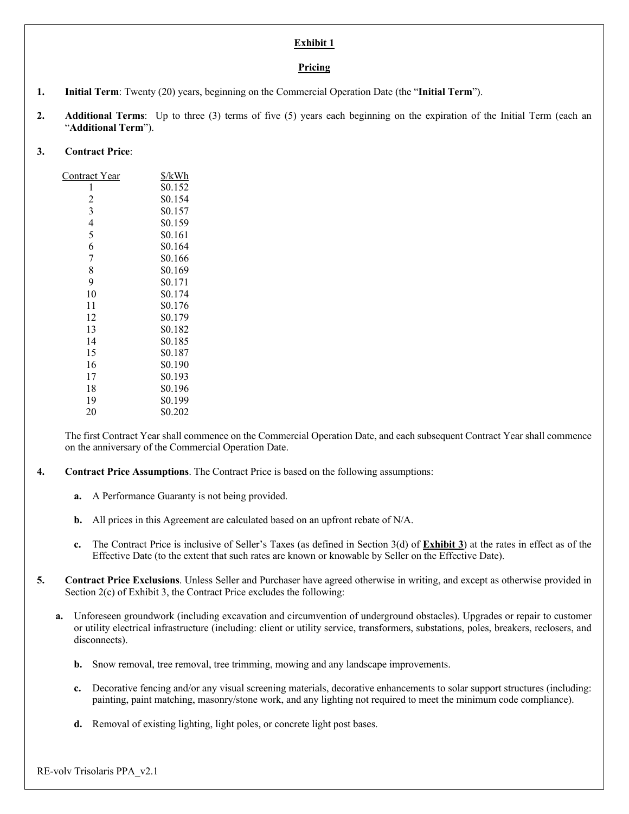#### **Exhibit 1**

#### **Pricing**

- **1. Initial Term**: Twenty (20) years, beginning on the Commercial Operation Date (the "**Initial Term**").
- **2. Additional Terms**: Up to three (3) terms of five (5) years each beginning on the expiration of the Initial Term (each an "**Additional Term**").

# **3. Contract Price**:

| Contract Year  | \$/kWh  |
|----------------|---------|
| 1              | \$0.152 |
| $\overline{c}$ | \$0.154 |
| 3              | \$0.157 |
| 4              | \$0.159 |
| 5              | \$0.161 |
| 6              | \$0.164 |
| 7              | \$0.166 |
| 8              | \$0.169 |
| 9              | \$0.171 |
| 10             | \$0.174 |
| 11             | \$0.176 |
| 12             | \$0.179 |
| 13             | \$0.182 |
| 14             | \$0.185 |
| 15             | \$0.187 |
| 16             | \$0.190 |
| 17             | \$0.193 |
| 18             | \$0.196 |
| 19             | \$0.199 |
| 20             | \$0.202 |

The first Contract Year shall commence on the Commercial Operation Date, and each subsequent Contract Year shall commence on the anniversary of the Commercial Operation Date.

- **4. Contract Price Assumptions**. The Contract Price is based on the following assumptions:
	- **a.** A Performance Guaranty is not being provided.
	- **b.** All prices in this Agreement are calculated based on an upfront rebate of N/A.
	- **c.** The Contract Price is inclusive of Seller's Taxes (as defined in Section 3(d) of **Exhibit 3**) at the rates in effect as of the Effective Date (to the extent that such rates are known or knowable by Seller on the Effective Date).
- **5. Contract Price Exclusions**. Unless Seller and Purchaser have agreed otherwise in writing, and except as otherwise provided in Section 2(c) of Exhibit 3, the Contract Price excludes the following:
	- **a.** Unforeseen groundwork (including excavation and circumvention of underground obstacles). Upgrades or repair to customer or utility electrical infrastructure (including: client or utility service, transformers, substations, poles, breakers, reclosers, and disconnects).
		- **b.** Snow removal, tree removal, tree trimming, mowing and any landscape improvements.
		- **c.** Decorative fencing and/or any visual screening materials, decorative enhancements to solar support structures (including: painting, paint matching, masonry/stone work, and any lighting not required to meet the minimum code compliance).
		- **d.** Removal of existing lighting, light poles, or concrete light post bases.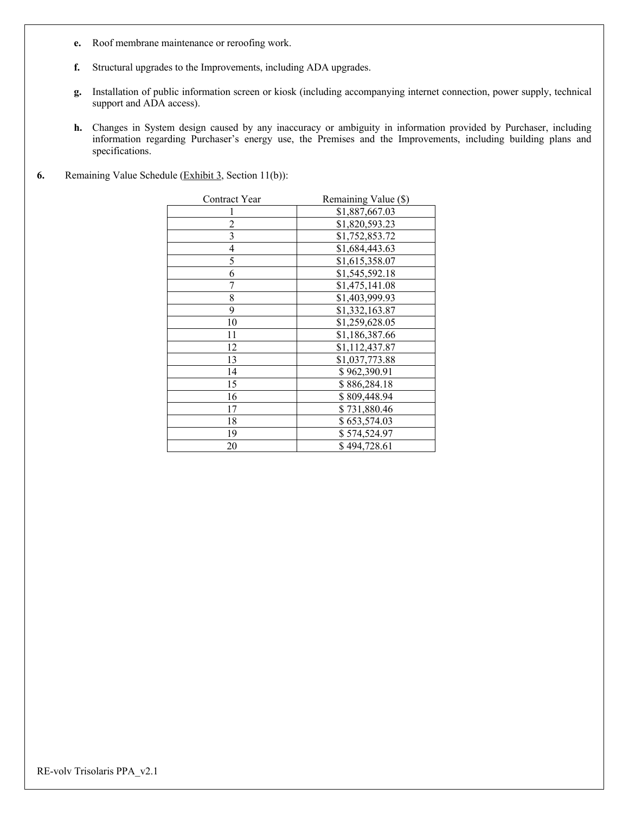- **e.** Roof membrane maintenance or reroofing work.
- **f.** Structural upgrades to the Improvements, including ADA upgrades.
- **g.** Installation of public information screen or kiosk (including accompanying internet connection, power supply, technical support and ADA access).
- **h.** Changes in System design caused by any inaccuracy or ambiguity in information provided by Purchaser, including information regarding Purchaser's energy use, the Premises and the Improvements, including building plans and specifications.
- **6.** Remaining Value Schedule (Exhibit 3, Section 11(b)):

| Contract Year            | Remaining Value (\$) |
|--------------------------|----------------------|
|                          | \$1,887,667.03       |
| $\overline{c}$           | \$1,820,593.23       |
| $\overline{\mathbf{3}}$  | \$1,752,853.72       |
| $\overline{\mathcal{A}}$ | \$1,684,443.63       |
| 5                        | \$1,615,358.07       |
| 6                        | \$1,545,592.18       |
| 7                        | \$1,475,141.08       |
| 8                        | \$1,403,999.93       |
| 9                        | \$1,332,163.87       |
| 10                       | \$1,259,628.05       |
| 11                       | \$1,186,387.66       |
| 12                       | \$1,112,437.87       |
| 13                       | \$1,037,773.88       |
| 14                       | \$962,390.91         |
| 15                       | \$886,284.18         |
| 16                       | \$809,448.94         |
| 17                       | \$731,880.46         |
| 18                       | \$653,574.03         |
| 19                       | \$574,524.97         |
| 20                       | \$494,728.61         |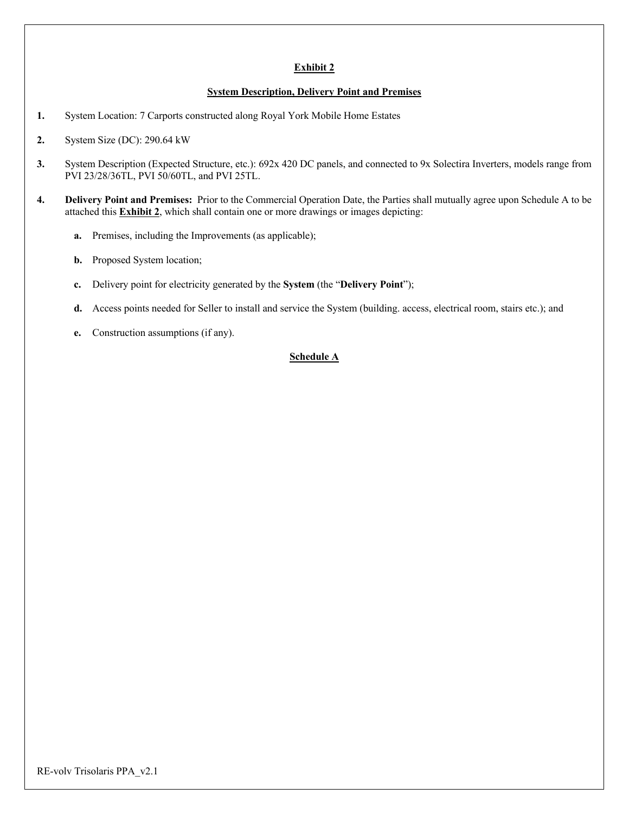# **Exhibit 2**

#### **System Description, Delivery Point and Premises**

- **1.** System Location: 7 Carports constructed along Royal York Mobile Home Estates
- **2.** System Size (DC): 290.64 kW
- **3.** System Description (Expected Structure, etc.): 692x 420 DC panels, and connected to 9x Solectira Inverters, models range from PVI 23/28/36TL, PVI 50/60TL, and PVI 25TL.
- **4. Delivery Point and Premises:** Prior to the Commercial Operation Date, the Parties shall mutually agree upon Schedule A to be attached this **Exhibit 2**, which shall contain one or more drawings or images depicting:
	- **a.** Premises, including the Improvements (as applicable);
	- **b.** Proposed System location;
	- **c.** Delivery point for electricity generated by the **System** (the "**Delivery Point**");
	- **d.** Access points needed for Seller to install and service the System (building. access, electrical room, stairs etc.); and
	- **e.** Construction assumptions (if any).

# **Schedule A**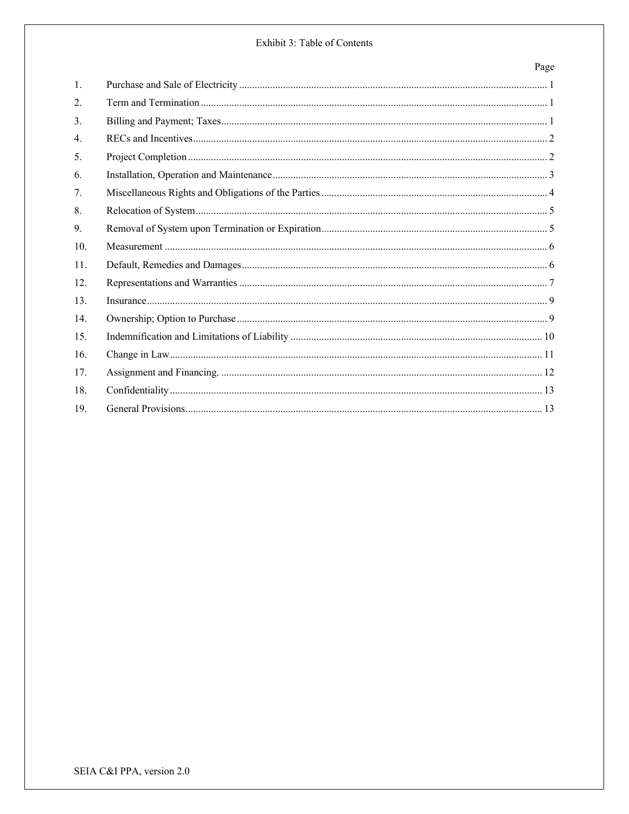### Exhibit 3: Table of Contents

# Page

| 1.  |  |
|-----|--|
| 2.  |  |
| 3.  |  |
| 4.  |  |
| 5.  |  |
| 6.  |  |
| 7.  |  |
| 8.  |  |
| 9.  |  |
| 10. |  |
| 11. |  |
| 12. |  |
| 13. |  |
| 14. |  |
| 15. |  |
| 16. |  |
| 17. |  |
| 18. |  |
| 19. |  |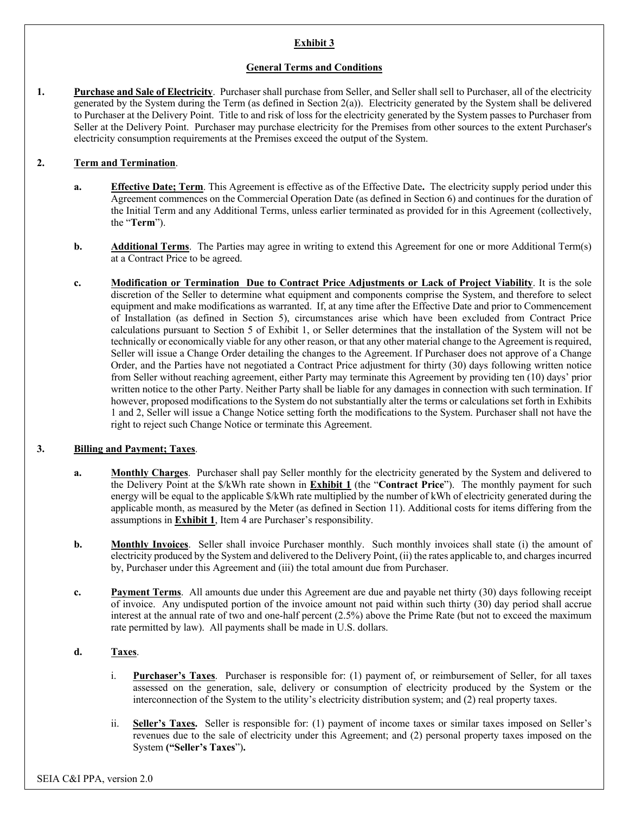# **Exhibit 3**

#### **General Terms and Conditions**

**1. Purchase and Sale of Electricity**. Purchaser shall purchase from Seller, and Seller shall sell to Purchaser, all of the electricity generated by the System during the Term (as defined in Section 2(a)). Electricity generated by the System shall be delivered to Purchaser at the Delivery Point. Title to and risk of loss for the electricity generated by the System passes to Purchaser from Seller at the Delivery Point. Purchaser may purchase electricity for the Premises from other sources to the extent Purchaser's electricity consumption requirements at the Premises exceed the output of the System.

### **2. Term and Termination**.

- **a. Effective Date; Term**. This Agreement is effective as of the Effective Date**.** The electricity supply period under this Agreement commences on the Commercial Operation Date (as defined in Section 6) and continues for the duration of the Initial Term and any Additional Terms, unless earlier terminated as provided for in this Agreement (collectively, the "**Term**").
- **b. Additional Terms**. The Parties may agree in writing to extend this Agreement for one or more Additional Term(s) at a Contract Price to be agreed.
- **c. Modification or Termination Due to Contract Price Adjustments or Lack of Project Viability**. It is the sole discretion of the Seller to determine what equipment and components comprise the System, and therefore to select equipment and make modifications as warranted. If, at any time after the Effective Date and prior to Commencement of Installation (as defined in Section 5), circumstances arise which have been excluded from Contract Price calculations pursuant to Section 5 of Exhibit 1, or Seller determines that the installation of the System will not be technically or economically viable for any other reason, or that any other material change to the Agreement is required, Seller will issue a Change Order detailing the changes to the Agreement. If Purchaser does not approve of a Change Order, and the Parties have not negotiated a Contract Price adjustment for thirty (30) days following written notice from Seller without reaching agreement, either Party may terminate this Agreement by providing ten (10) days' prior written notice to the other Party. Neither Party shall be liable for any damages in connection with such termination. If however, proposed modifications to the System do not substantially alter the terms or calculations set forth in Exhibits 1 and 2, Seller will issue a Change Notice setting forth the modifications to the System. Purchaser shall not have the right to reject such Change Notice or terminate this Agreement.

## **3. Billing and Payment; Taxes**.

- **a. Monthly Charges**. Purchaser shall pay Seller monthly for the electricity generated by the System and delivered to the Delivery Point at the \$/kWh rate shown in **Exhibit 1** (the "**Contract Price**"). The monthly payment for such energy will be equal to the applicable \$/kWh rate multiplied by the number of kWh of electricity generated during the applicable month, as measured by the Meter (as defined in Section 11). Additional costs for items differing from the assumptions in **Exhibit 1**, Item 4 are Purchaser's responsibility.
- **b. Monthly Invoices**. Seller shall invoice Purchaser monthly. Such monthly invoices shall state (i) the amount of electricity produced by the System and delivered to the Delivery Point, (ii) the rates applicable to, and charges incurred by, Purchaser under this Agreement and (iii) the total amount due from Purchaser.
- **c. Payment Terms**. All amounts due under this Agreement are due and payable net thirty (30) days following receipt of invoice. Any undisputed portion of the invoice amount not paid within such thirty (30) day period shall accrue interest at the annual rate of two and one-half percent (2.5%) above the Prime Rate (but not to exceed the maximum rate permitted by law). All payments shall be made in U.S. dollars.

#### **d. Taxes**.

- i. **Purchaser's Taxes**. Purchaser is responsible for: (1) payment of, or reimbursement of Seller, for all taxes assessed on the generation, sale, delivery or consumption of electricity produced by the System or the interconnection of the System to the utility's electricity distribution system; and (2) real property taxes.
- ii. **Seller's Taxes.** Seller is responsible for: (1) payment of income taxes or similar taxes imposed on Seller's revenues due to the sale of electricity under this Agreement; and (2) personal property taxes imposed on the System **("Seller's Taxes**")**.**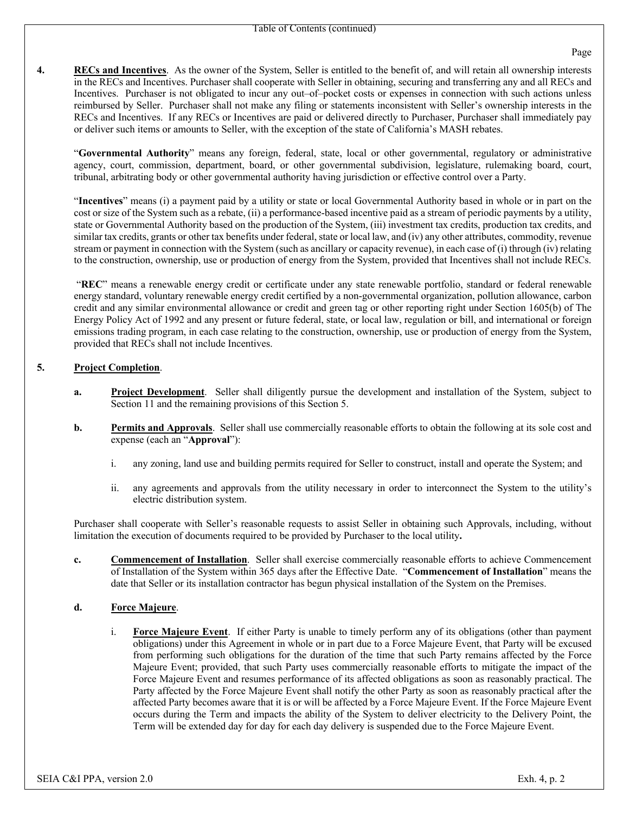**4. RECs and Incentives**. As the owner of the System, Seller is entitled to the benefit of, and will retain all ownership interests in the RECs and Incentives. Purchaser shall cooperate with Seller in obtaining, securing and transferring any and all RECs and Incentives. Purchaser is not obligated to incur any out–of–pocket costs or expenses in connection with such actions unless reimbursed by Seller. Purchaser shall not make any filing or statements inconsistent with Seller's ownership interests in the RECs and Incentives. If any RECs or Incentives are paid or delivered directly to Purchaser, Purchaser shall immediately pay or deliver such items or amounts to Seller, with the exception of the state of California's MASH rebates.

"**Governmental Authority**" means any foreign, federal, state, local or other governmental, regulatory or administrative agency, court, commission, department, board, or other governmental subdivision, legislature, rulemaking board, court, tribunal, arbitrating body or other governmental authority having jurisdiction or effective control over a Party.

"**Incentives**" means (i) a payment paid by a utility or state or local Governmental Authority based in whole or in part on the cost or size of the System such as a rebate, (ii) a performance-based incentive paid as a stream of periodic payments by a utility, state or Governmental Authority based on the production of the System, (iii) investment tax credits, production tax credits, and similar tax credits, grants or other tax benefits under federal, state or local law, and (iv) any other attributes, commodity, revenue stream or payment in connection with the System (such as ancillary or capacity revenue), in each case of (i) through (iv) relating to the construction, ownership, use or production of energy from the System, provided that Incentives shall not include RECs.

"**REC**" means a renewable energy credit or certificate under any state renewable portfolio, standard or federal renewable energy standard, voluntary renewable energy credit certified by a non-governmental organization, pollution allowance, carbon credit and any similar environmental allowance or credit and green tag or other reporting right under Section 1605(b) of The Energy Policy Act of 1992 and any present or future federal, state, or local law, regulation or bill, and international or foreign emissions trading program, in each case relating to the construction, ownership, use or production of energy from the System, provided that RECs shall not include Incentives.

### **5. Project Completion**.

- **a. Project Development**. Seller shall diligently pursue the development and installation of the System, subject to Section 11 and the remaining provisions of this Section 5.
- **b. Permits and Approvals**. Seller shall use commercially reasonable efforts to obtain the following at its sole cost and expense (each an "**Approval**"):
	- i. any zoning, land use and building permits required for Seller to construct, install and operate the System; and
	- ii. any agreements and approvals from the utility necessary in order to interconnect the System to the utility's electric distribution system.

Purchaser shall cooperate with Seller's reasonable requests to assist Seller in obtaining such Approvals, including, without limitation the execution of documents required to be provided by Purchaser to the local utility**.**

**c. Commencement of Installation**. Seller shall exercise commercially reasonable efforts to achieve Commencement of Installation of the System within 365 days after the Effective Date. "**Commencement of Installation**" means the date that Seller or its installation contractor has begun physical installation of the System on the Premises.

#### **d. Force Majeure**.

i. **Force Majeure Event**. If either Party is unable to timely perform any of its obligations (other than payment obligations) under this Agreement in whole or in part due to a Force Majeure Event, that Party will be excused from performing such obligations for the duration of the time that such Party remains affected by the Force Majeure Event; provided, that such Party uses commercially reasonable efforts to mitigate the impact of the Force Majeure Event and resumes performance of its affected obligations as soon as reasonably practical. The Party affected by the Force Majeure Event shall notify the other Party as soon as reasonably practical after the affected Party becomes aware that it is or will be affected by a Force Majeure Event. If the Force Majeure Event occurs during the Term and impacts the ability of the System to deliver electricity to the Delivery Point, the Term will be extended day for day for each day delivery is suspended due to the Force Majeure Event.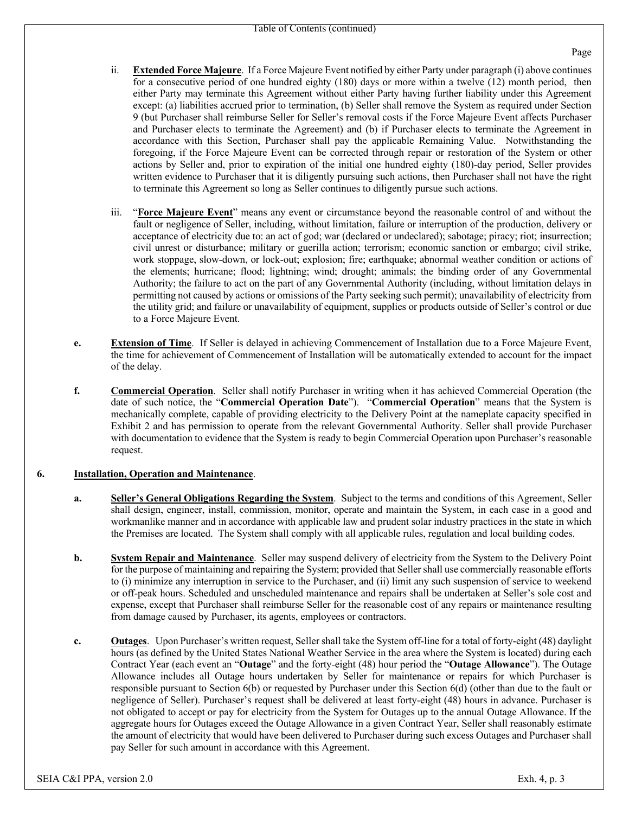- ii. **Extended Force Majeure**. If a Force Majeure Event notified by either Party under paragraph (i) above continues for a consecutive period of one hundred eighty (180) days or more within a twelve (12) month period, then either Party may terminate this Agreement without either Party having further liability under this Agreement except: (a) liabilities accrued prior to termination, (b) Seller shall remove the System as required under Section 9 (but Purchaser shall reimburse Seller for Seller's removal costs if the Force Majeure Event affects Purchaser and Purchaser elects to terminate the Agreement) and (b) if Purchaser elects to terminate the Agreement in accordance with this Section, Purchaser shall pay the applicable Remaining Value. Notwithstanding the foregoing, if the Force Majeure Event can be corrected through repair or restoration of the System or other actions by Seller and, prior to expiration of the initial one hundred eighty (180)-day period, Seller provides written evidence to Purchaser that it is diligently pursuing such actions, then Purchaser shall not have the right to terminate this Agreement so long as Seller continues to diligently pursue such actions.
- iii. "**Force Majeure Event**" means any event or circumstance beyond the reasonable control of and without the fault or negligence of Seller, including, without limitation, failure or interruption of the production, delivery or acceptance of electricity due to: an act of god; war (declared or undeclared); sabotage; piracy; riot; insurrection; civil unrest or disturbance; military or guerilla action; terrorism; economic sanction or embargo; civil strike, work stoppage, slow-down, or lock-out; explosion; fire; earthquake; abnormal weather condition or actions of the elements; hurricane; flood; lightning; wind; drought; animals; the binding order of any Governmental Authority; the failure to act on the part of any Governmental Authority (including, without limitation delays in permitting not caused by actions or omissions of the Party seeking such permit); unavailability of electricity from the utility grid; and failure or unavailability of equipment, supplies or products outside of Seller's control or due to a Force Majeure Event.
- **e. Extension of Time**. If Seller is delayed in achieving Commencement of Installation due to a Force Majeure Event, the time for achievement of Commencement of Installation will be automatically extended to account for the impact of the delay.
- **f. Commercial Operation**. Seller shall notify Purchaser in writing when it has achieved Commercial Operation (the date of such notice, the "**Commercial Operation Date**"). "**Commercial Operation**" means that the System is mechanically complete, capable of providing electricity to the Delivery Point at the nameplate capacity specified in Exhibit 2 and has permission to operate from the relevant Governmental Authority. Seller shall provide Purchaser with documentation to evidence that the System is ready to begin Commercial Operation upon Purchaser's reasonable request.

#### **6. Installation, Operation and Maintenance**.

- **a. Seller's General Obligations Regarding the System**. Subject to the terms and conditions of this Agreement, Seller shall design, engineer, install, commission, monitor, operate and maintain the System, in each case in a good and workmanlike manner and in accordance with applicable law and prudent solar industry practices in the state in which the Premises are located. The System shall comply with all applicable rules, regulation and local building codes.
- **b. System Repair and Maintenance**. Seller may suspend delivery of electricity from the System to the Delivery Point for the purpose of maintaining and repairing the System; provided that Seller shall use commercially reasonable efforts to (i) minimize any interruption in service to the Purchaser, and (ii) limit any such suspension of service to weekend or off-peak hours. Scheduled and unscheduled maintenance and repairs shall be undertaken at Seller's sole cost and expense, except that Purchaser shall reimburse Seller for the reasonable cost of any repairs or maintenance resulting from damage caused by Purchaser, its agents, employees or contractors.
- **c. Outages**. Upon Purchaser's written request, Seller shall take the System off-line for a total of forty-eight (48) daylight hours (as defined by the United States National Weather Service in the area where the System is located) during each Contract Year (each event an "**Outage**" and the forty-eight (48) hour period the "**Outage Allowance**"). The Outage Allowance includes all Outage hours undertaken by Seller for maintenance or repairs for which Purchaser is responsible pursuant to Section 6(b) or requested by Purchaser under this Section 6(d) (other than due to the fault or negligence of Seller). Purchaser's request shall be delivered at least forty-eight (48) hours in advance. Purchaser is not obligated to accept or pay for electricity from the System for Outages up to the annual Outage Allowance. If the aggregate hours for Outages exceed the Outage Allowance in a given Contract Year, Seller shall reasonably estimate the amount of electricity that would have been delivered to Purchaser during such excess Outages and Purchaser shall pay Seller for such amount in accordance with this Agreement.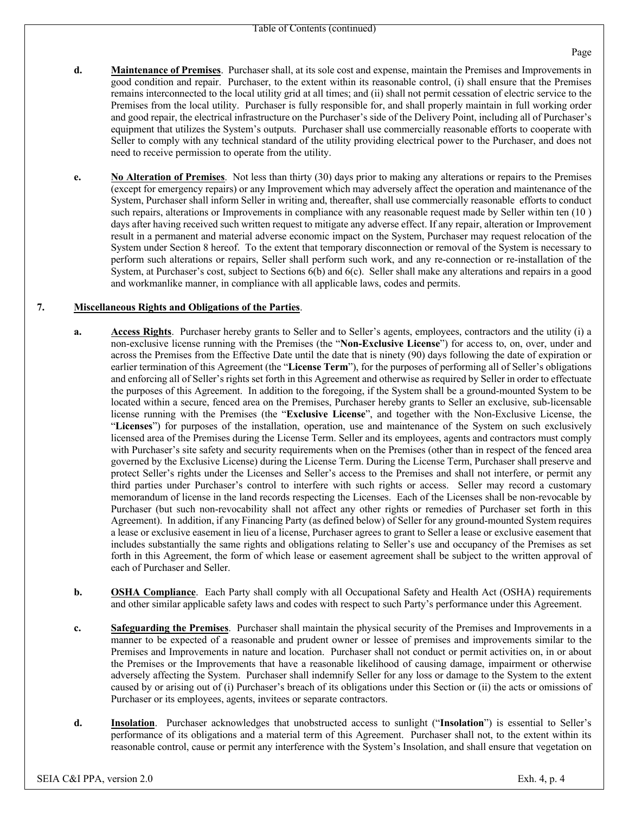- **d. Maintenance of Premises**. Purchaser shall, at its sole cost and expense, maintain the Premises and Improvements in good condition and repair. Purchaser, to the extent within its reasonable control, (i) shall ensure that the Premises remains interconnected to the local utility grid at all times; and (ii) shall not permit cessation of electric service to the Premises from the local utility. Purchaser is fully responsible for, and shall properly maintain in full working order and good repair, the electrical infrastructure on the Purchaser's side of the Delivery Point, including all of Purchaser's equipment that utilizes the System's outputs. Purchaser shall use commercially reasonable efforts to cooperate with Seller to comply with any technical standard of the utility providing electrical power to the Purchaser, and does not need to receive permission to operate from the utility.
- **e. No Alteration of Premises**. Not less than thirty (30) days prior to making any alterations or repairs to the Premises (except for emergency repairs) or any Improvement which may adversely affect the operation and maintenance of the System, Purchaser shall inform Seller in writing and, thereafter, shall use commercially reasonable efforts to conduct such repairs, alterations or Improvements in compliance with any reasonable request made by Seller within ten (10 ) days after having received such written request to mitigate any adverse effect. If any repair, alteration or Improvement result in a permanent and material adverse economic impact on the System, Purchaser may request relocation of the System under Section 8 hereof. To the extent that temporary disconnection or removal of the System is necessary to perform such alterations or repairs, Seller shall perform such work, and any re-connection or re-installation of the System, at Purchaser's cost, subject to Sections 6(b) and 6(c). Seller shall make any alterations and repairs in a good and workmanlike manner, in compliance with all applicable laws, codes and permits.

### **7. Miscellaneous Rights and Obligations of the Parties**.

- **a. Access Rights**. Purchaser hereby grants to Seller and to Seller's agents, employees, contractors and the utility (i) a non-exclusive license running with the Premises (the "**Non-Exclusive License**") for access to, on, over, under and across the Premises from the Effective Date until the date that is ninety (90) days following the date of expiration or earlier termination of this Agreement (the "**License Term**"), for the purposes of performing all of Seller's obligations and enforcing all of Seller's rights set forth in this Agreement and otherwise as required by Seller in order to effectuate the purposes of this Agreement. In addition to the foregoing, if the System shall be a ground-mounted System to be located within a secure, fenced area on the Premises, Purchaser hereby grants to Seller an exclusive, sub-licensable license running with the Premises (the "**Exclusive License**", and together with the Non-Exclusive License, the "**Licenses**") for purposes of the installation, operation, use and maintenance of the System on such exclusively licensed area of the Premises during the License Term. Seller and its employees, agents and contractors must comply with Purchaser's site safety and security requirements when on the Premises (other than in respect of the fenced area governed by the Exclusive License) during the License Term. During the License Term, Purchaser shall preserve and protect Seller's rights under the Licenses and Seller's access to the Premises and shall not interfere, or permit any third parties under Purchaser's control to interfere with such rights or access. Seller may record a customary memorandum of license in the land records respecting the Licenses. Each of the Licenses shall be non-revocable by Purchaser (but such non-revocability shall not affect any other rights or remedies of Purchaser set forth in this Agreement). In addition, if any Financing Party (as defined below) of Seller for any ground-mounted System requires a lease or exclusive easement in lieu of a license, Purchaser agrees to grant to Seller a lease or exclusive easement that includes substantially the same rights and obligations relating to Seller's use and occupancy of the Premises as set forth in this Agreement, the form of which lease or easement agreement shall be subject to the written approval of each of Purchaser and Seller.
- **b. OSHA Compliance**. Each Party shall comply with all Occupational Safety and Health Act (OSHA) requirements and other similar applicable safety laws and codes with respect to such Party's performance under this Agreement.
- **c. Safeguarding the Premises**. Purchaser shall maintain the physical security of the Premises and Improvements in a manner to be expected of a reasonable and prudent owner or lessee of premises and improvements similar to the Premises and Improvements in nature and location. Purchaser shall not conduct or permit activities on, in or about the Premises or the Improvements that have a reasonable likelihood of causing damage, impairment or otherwise adversely affecting the System. Purchaser shall indemnify Seller for any loss or damage to the System to the extent caused by or arising out of (i) Purchaser's breach of its obligations under this Section or (ii) the acts or omissions of Purchaser or its employees, agents, invitees or separate contractors.
- **d. Insolation**. Purchaser acknowledges that unobstructed access to sunlight ("**Insolation**") is essential to Seller's performance of its obligations and a material term of this Agreement. Purchaser shall not, to the extent within its reasonable control, cause or permit any interference with the System's Insolation, and shall ensure that vegetation on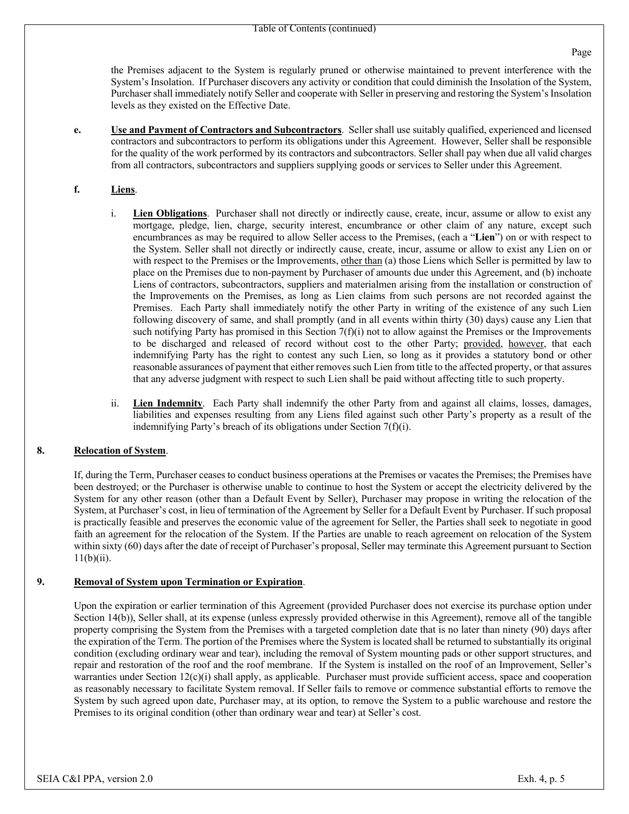the Premises adjacent to the System is regularly pruned or otherwise maintained to prevent interference with the System's Insolation. If Purchaser discovers any activity or condition that could diminish the Insolation of the System, Purchaser shall immediately notify Seller and cooperate with Seller in preserving and restoring the System's Insolation levels as they existed on the Effective Date.

**e. Use and Payment of Contractors and Subcontractors**. Seller shall use suitably qualified, experienced and licensed contractors and subcontractors to perform its obligations under this Agreement. However, Seller shall be responsible for the quality of the work performed by its contractors and subcontractors. Seller shall pay when due all valid charges from all contractors, subcontractors and suppliers supplying goods or services to Seller under this Agreement.

### **f. Liens**.

- i. **Lien Obligations**. Purchaser shall not directly or indirectly cause, create, incur, assume or allow to exist any mortgage, pledge, lien, charge, security interest, encumbrance or other claim of any nature, except such encumbrances as may be required to allow Seller access to the Premises, (each a "**Lien**") on or with respect to the System. Seller shall not directly or indirectly cause, create, incur, assume or allow to exist any Lien on or with respect to the Premises or the Improvements, other than (a) those Liens which Seller is permitted by law to place on the Premises due to non-payment by Purchaser of amounts due under this Agreement, and (b) inchoate Liens of contractors, subcontractors, suppliers and materialmen arising from the installation or construction of the Improvements on the Premises, as long as Lien claims from such persons are not recorded against the Premises. Each Party shall immediately notify the other Party in writing of the existence of any such Lien following discovery of same, and shall promptly (and in all events within thirty (30) days) cause any Lien that such notifying Party has promised in this Section  $7(f)(i)$  not to allow against the Premises or the Improvements to be discharged and released of record without cost to the other Party; provided, however, that each indemnifying Party has the right to contest any such Lien, so long as it provides a statutory bond or other reasonable assurances of payment that either removes such Lien from title to the affected property, or that assures that any adverse judgment with respect to such Lien shall be paid without affecting title to such property.
- ii. **Lien Indemnity**. Each Party shall indemnify the other Party from and against all claims, losses, damages, liabilities and expenses resulting from any Liens filed against such other Party's property as a result of the indemnifying Party's breach of its obligations under Section 7(f)(i).

#### **8. Relocation of System**.

If, during the Term, Purchaser ceases to conduct business operations at the Premises or vacates the Premises; the Premises have been destroyed; or the Purchaser is otherwise unable to continue to host the System or accept the electricity delivered by the System for any other reason (other than a Default Event by Seller), Purchaser may propose in writing the relocation of the System, at Purchaser's cost, in lieu of termination of the Agreement by Seller for a Default Event by Purchaser. If such proposal is practically feasible and preserves the economic value of the agreement for Seller, the Parties shall seek to negotiate in good faith an agreement for the relocation of the System. If the Parties are unable to reach agreement on relocation of the System within sixty (60) days after the date of receipt of Purchaser's proposal, Seller may terminate this Agreement pursuant to Section 11(b)(ii).

#### **9. Removal of System upon Termination or Expiration**.

Upon the expiration or earlier termination of this Agreement (provided Purchaser does not exercise its purchase option under Section 14(b)), Seller shall, at its expense (unless expressly provided otherwise in this Agreement), remove all of the tangible property comprising the System from the Premises with a targeted completion date that is no later than ninety (90) days after the expiration of the Term. The portion of the Premises where the System is located shall be returned to substantially its original condition (excluding ordinary wear and tear), including the removal of System mounting pads or other support structures, and repair and restoration of the roof and the roof membrane. If the System is installed on the roof of an Improvement, Seller's warranties under Section 12(c)(i) shall apply, as applicable. Purchaser must provide sufficient access, space and cooperation as reasonably necessary to facilitate System removal. If Seller fails to remove or commence substantial efforts to remove the System by such agreed upon date, Purchaser may, at its option, to remove the System to a public warehouse and restore the Premises to its original condition (other than ordinary wear and tear) at Seller's cost.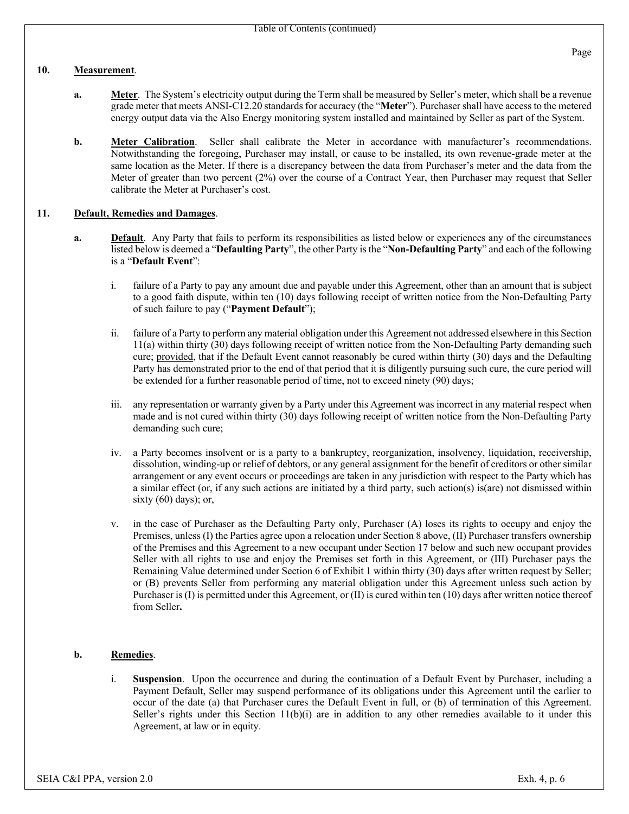#### **10. Measurement**.

- **a. Meter**. The System's electricity output during the Term shall be measured by Seller's meter, which shall be a revenue grade meter that meets ANSI-C12.20 standards for accuracy (the "**Meter**"). Purchaser shall have access to the metered energy output data via the Also Energy monitoring system installed and maintained by Seller as part of the System.
- **b. Meter Calibration**. Seller shall calibrate the Meter in accordance with manufacturer's recommendations. Notwithstanding the foregoing, Purchaser may install, or cause to be installed, its own revenue-grade meter at the same location as the Meter. If there is a discrepancy between the data from Purchaser's meter and the data from the Meter of greater than two percent (2%) over the course of a Contract Year, then Purchaser may request that Seller calibrate the Meter at Purchaser's cost.

### **11. Default, Remedies and Damages**.

- **a. Default**. Any Party that fails to perform its responsibilities as listed below or experiences any of the circumstances listed below is deemed a "**Defaulting Party**", the other Party is the "**Non-Defaulting Party**" and each of the following is a "**Default Event**":
	- i. failure of a Party to pay any amount due and payable under this Agreement, other than an amount that is subject to a good faith dispute, within ten (10) days following receipt of written notice from the Non-Defaulting Party of such failure to pay ("**Payment Default**");
	- ii. failure of a Party to perform any material obligation under this Agreement not addressed elsewhere in this Section 11(a) within thirty (30) days following receipt of written notice from the Non-Defaulting Party demanding such cure; provided, that if the Default Event cannot reasonably be cured within thirty (30) days and the Defaulting Party has demonstrated prior to the end of that period that it is diligently pursuing such cure, the cure period will be extended for a further reasonable period of time, not to exceed ninety (90) days;
	- iii. any representation or warranty given by a Party under this Agreement was incorrect in any material respect when made and is not cured within thirty (30) days following receipt of written notice from the Non-Defaulting Party demanding such cure;
	- iv. a Party becomes insolvent or is a party to a bankruptcy, reorganization, insolvency, liquidation, receivership, dissolution, winding-up or relief of debtors, or any general assignment for the benefit of creditors or other similar arrangement or any event occurs or proceedings are taken in any jurisdiction with respect to the Party which has a similar effect (or, if any such actions are initiated by a third party, such action(s) is(are) not dismissed within sixty  $(60)$  days); or,
	- v. in the case of Purchaser as the Defaulting Party only, Purchaser (A) loses its rights to occupy and enjoy the Premises, unless (I) the Parties agree upon a relocation under Section 8 above, (II) Purchaser transfers ownership of the Premises and this Agreement to a new occupant under Section 17 below and such new occupant provides Seller with all rights to use and enjoy the Premises set forth in this Agreement, or (III) Purchaser pays the Remaining Value determined under Section 6 of Exhibit 1 within thirty (30) days after written request by Seller; or (B) prevents Seller from performing any material obligation under this Agreement unless such action by Purchaser is (I) is permitted under this Agreement, or (II) is cured within ten (10) days after written notice thereof from Seller**.**

## **b. Remedies**.

i. **Suspension**. Upon the occurrence and during the continuation of a Default Event by Purchaser, including a Payment Default, Seller may suspend performance of its obligations under this Agreement until the earlier to occur of the date (a) that Purchaser cures the Default Event in full, or (b) of termination of this Agreement. Seller's rights under this Section  $11(b)(i)$  are in addition to any other remedies available to it under this Agreement, at law or in equity.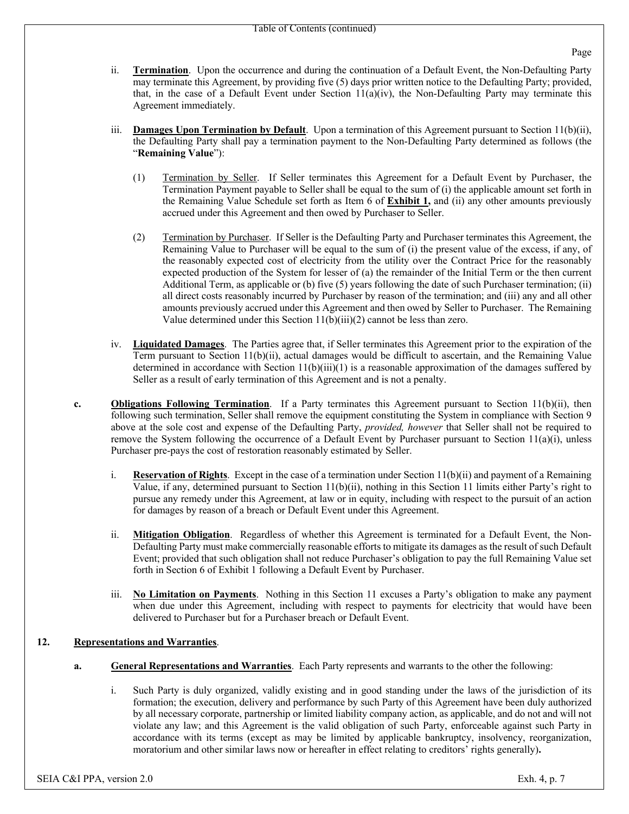- ii. **Termination**. Upon the occurrence and during the continuation of a Default Event, the Non-Defaulting Party may terminate this Agreement, by providing five (5) days prior written notice to the Defaulting Party; provided, that, in the case of a Default Event under Section  $11(a)(iv)$ , the Non-Defaulting Party may terminate this Agreement immediately.
- iii. **Damages Upon Termination by Default**. Upon a termination of this Agreement pursuant to Section 11(b)(ii), the Defaulting Party shall pay a termination payment to the Non-Defaulting Party determined as follows (the "**Remaining Value**"):
	- (1) Termination by Seller. If Seller terminates this Agreement for a Default Event by Purchaser, the Termination Payment payable to Seller shall be equal to the sum of (i) the applicable amount set forth in the Remaining Value Schedule set forth as Item 6 of **Exhibit 1,** and (ii) any other amounts previously accrued under this Agreement and then owed by Purchaser to Seller.
	- (2) Termination by Purchaser. If Seller is the Defaulting Party and Purchaser terminates this Agreement, the Remaining Value to Purchaser will be equal to the sum of (i) the present value of the excess, if any, of the reasonably expected cost of electricity from the utility over the Contract Price for the reasonably expected production of the System for lesser of (a) the remainder of the Initial Term or the then current Additional Term, as applicable or (b) five (5) years following the date of such Purchaser termination; (ii) all direct costs reasonably incurred by Purchaser by reason of the termination; and (iii) any and all other amounts previously accrued under this Agreement and then owed by Seller to Purchaser. The Remaining Value determined under this Section 11(b)(iii)(2) cannot be less than zero.
- iv. **Liquidated Damages**. The Parties agree that, if Seller terminates this Agreement prior to the expiration of the Term pursuant to Section 11(b)(ii), actual damages would be difficult to ascertain, and the Remaining Value determined in accordance with Section  $11(b)(iii)(1)$  is a reasonable approximation of the damages suffered by Seller as a result of early termination of this Agreement and is not a penalty.
- **c. Obligations Following Termination**. If a Party terminates this Agreement pursuant to Section 11(b)(ii), then following such termination, Seller shall remove the equipment constituting the System in compliance with Section 9 above at the sole cost and expense of the Defaulting Party, *provided, however* that Seller shall not be required to remove the System following the occurrence of a Default Event by Purchaser pursuant to Section 11(a)(i), unless Purchaser pre-pays the cost of restoration reasonably estimated by Seller.
	- i. **Reservation of Rights**. Except in the case of a termination under Section 11(b)(ii) and payment of a Remaining Value, if any, determined pursuant to Section 11(b)(ii), nothing in this Section 11 limits either Party's right to pursue any remedy under this Agreement, at law or in equity, including with respect to the pursuit of an action for damages by reason of a breach or Default Event under this Agreement.
	- ii. **Mitigation Obligation**. Regardless of whether this Agreement is terminated for a Default Event, the Non-Defaulting Party must make commercially reasonable efforts to mitigate its damages as the result of such Default Event; provided that such obligation shall not reduce Purchaser's obligation to pay the full Remaining Value set forth in Section 6 of Exhibit 1 following a Default Event by Purchaser.
	- iii. **No Limitation on Payments**. Nothing in this Section 11 excuses a Party's obligation to make any payment when due under this Agreement, including with respect to payments for electricity that would have been delivered to Purchaser but for a Purchaser breach or Default Event.

# **12. Representations and Warranties**.

- **a. General Representations and Warranties**. Each Party represents and warrants to the other the following:
	- i. Such Party is duly organized, validly existing and in good standing under the laws of the jurisdiction of its formation; the execution, delivery and performance by such Party of this Agreement have been duly authorized by all necessary corporate, partnership or limited liability company action, as applicable, and do not and will not violate any law; and this Agreement is the valid obligation of such Party, enforceable against such Party in accordance with its terms (except as may be limited by applicable bankruptcy, insolvency, reorganization, moratorium and other similar laws now or hereafter in effect relating to creditors' rights generally)**.**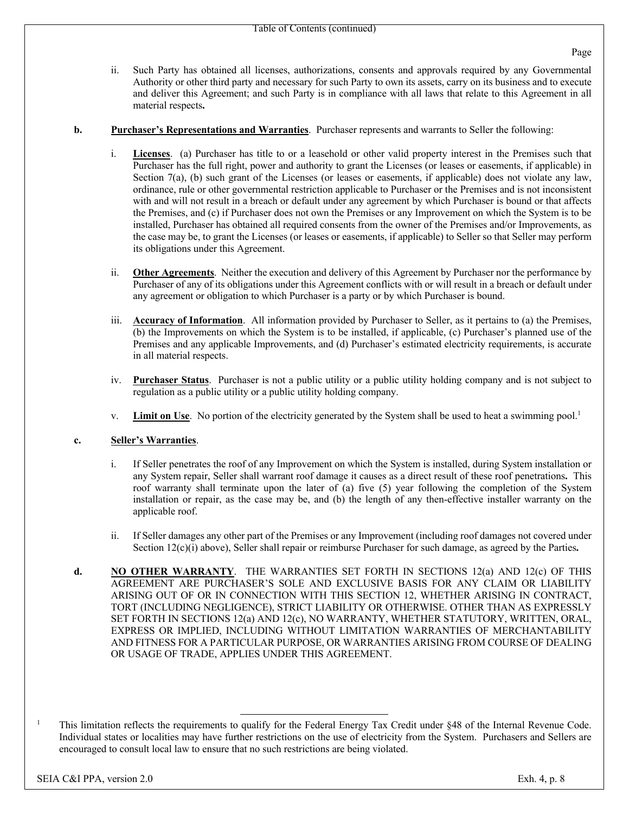ii. Such Party has obtained all licenses, authorizations, consents and approvals required by any Governmental Authority or other third party and necessary for such Party to own its assets, carry on its business and to execute and deliver this Agreement; and such Party is in compliance with all laws that relate to this Agreement in all material respects**.** 

#### **b. Purchaser's Representations and Warranties**. Purchaser represents and warrants to Seller the following:

- i. **Licenses**. (a) Purchaser has title to or a leasehold or other valid property interest in the Premises such that Purchaser has the full right, power and authority to grant the Licenses (or leases or easements, if applicable) in Section 7(a), (b) such grant of the Licenses (or leases or easements, if applicable) does not violate any law, ordinance, rule or other governmental restriction applicable to Purchaser or the Premises and is not inconsistent with and will not result in a breach or default under any agreement by which Purchaser is bound or that affects the Premises, and (c) if Purchaser does not own the Premises or any Improvement on which the System is to be installed, Purchaser has obtained all required consents from the owner of the Premises and/or Improvements, as the case may be, to grant the Licenses (or leases or easements, if applicable) to Seller so that Seller may perform its obligations under this Agreement.
- ii. **Other Agreements**. Neither the execution and delivery of this Agreement by Purchaser nor the performance by Purchaser of any of its obligations under this Agreement conflicts with or will result in a breach or default under any agreement or obligation to which Purchaser is a party or by which Purchaser is bound.
- iii. **Accuracy of Information**. All information provided by Purchaser to Seller, as it pertains to (a) the Premises, (b) the Improvements on which the System is to be installed, if applicable, (c) Purchaser's planned use of the Premises and any applicable Improvements, and (d) Purchaser's estimated electricity requirements, is accurate in all material respects.
- iv. **Purchaser Status**. Purchaser is not a public utility or a public utility holding company and is not subject to regulation as a public utility or a public utility holding company.
- v. **Limit on Use**. No portion of the electricity generated by the System shall be used to heat a swimming pool.<sup>1</sup>

## **c. Seller's Warranties**.

- i. If Seller penetrates the roof of any Improvement on which the System is installed, during System installation or any System repair, Seller shall warrant roof damage it causes as a direct result of these roof penetrations**.** This roof warranty shall terminate upon the later of (a) five (5) year following the completion of the System installation or repair, as the case may be, and (b) the length of any then-effective installer warranty on the applicable roof.
- ii. If Seller damages any other part of the Premises or any Improvement (including roof damages not covered under Section 12(c)(i) above), Seller shall repair or reimburse Purchaser for such damage, as agreed by the Parties**.**
- **d. NO OTHER WARRANTY**. THE WARRANTIES SET FORTH IN SECTIONS 12(a) AND 12(c) OF THIS AGREEMENT ARE PURCHASER'S SOLE AND EXCLUSIVE BASIS FOR ANY CLAIM OR LIABILITY ARISING OUT OF OR IN CONNECTION WITH THIS SECTION 12, WHETHER ARISING IN CONTRACT, TORT (INCLUDING NEGLIGENCE), STRICT LIABILITY OR OTHERWISE. OTHER THAN AS EXPRESSLY SET FORTH IN SECTIONS 12(a) AND 12(c), NO WARRANTY, WHETHER STATUTORY, WRITTEN, ORAL, EXPRESS OR IMPLIED, INCLUDING WITHOUT LIMITATION WARRANTIES OF MERCHANTABILITY AND FITNESS FOR A PARTICULAR PURPOSE, OR WARRANTIES ARISING FROM COURSE OF DEALING OR USAGE OF TRADE, APPLIES UNDER THIS AGREEMENT.

<sup>1</sup> This limitation reflects the requirements to qualify for the Federal Energy Tax Credit under §48 of the Internal Revenue Code. Individual states or localities may have further restrictions on the use of electricity from the System. Purchasers and Sellers are encouraged to consult local law to ensure that no such restrictions are being violated.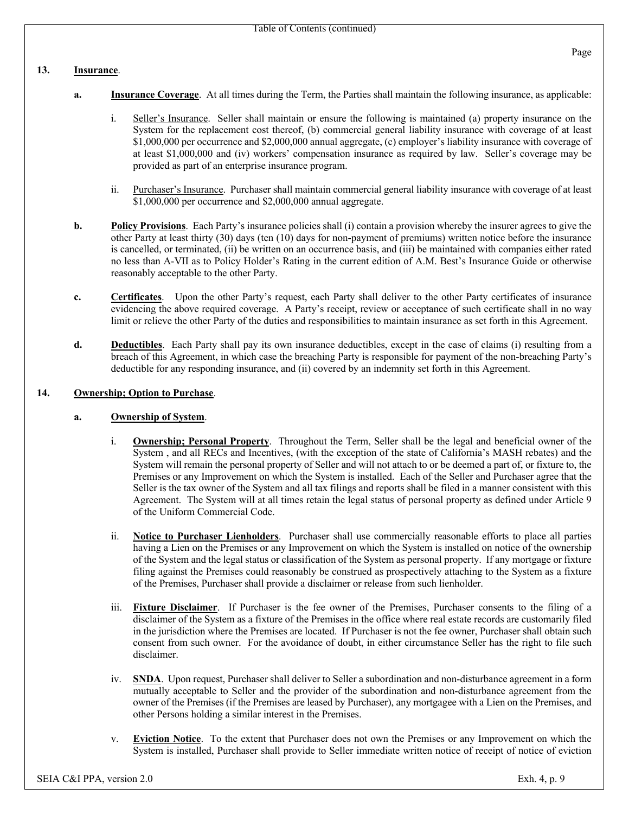#### **13. Insurance**.

- **a. Insurance Coverage**. At all times during the Term, the Parties shall maintain the following insurance, as applicable:
	- i. Seller's Insurance. Seller shall maintain or ensure the following is maintained (a) property insurance on the System for the replacement cost thereof, (b) commercial general liability insurance with coverage of at least \$1,000,000 per occurrence and \$2,000,000 annual aggregate, (c) employer's liability insurance with coverage of at least \$1,000,000 and (iv) workers' compensation insurance as required by law. Seller's coverage may be provided as part of an enterprise insurance program.
	- ii. Purchaser's Insurance. Purchaser shall maintain commercial general liability insurance with coverage of at least \$1,000,000 per occurrence and \$2,000,000 annual aggregate.
- **b. Policy Provisions**. Each Party's insurance policies shall (i) contain a provision whereby the insurer agrees to give the other Party at least thirty (30) days (ten (10) days for non-payment of premiums) written notice before the insurance is cancelled, or terminated, (ii) be written on an occurrence basis, and (iii) be maintained with companies either rated no less than A-VII as to Policy Holder's Rating in the current edition of A.M. Best's Insurance Guide or otherwise reasonably acceptable to the other Party.
- **c. Certificates**. Upon the other Party's request, each Party shall deliver to the other Party certificates of insurance evidencing the above required coverage. A Party's receipt, review or acceptance of such certificate shall in no way limit or relieve the other Party of the duties and responsibilities to maintain insurance as set forth in this Agreement.
- **d. Deductibles**. Each Party shall pay its own insurance deductibles, except in the case of claims (i) resulting from a breach of this Agreement, in which case the breaching Party is responsible for payment of the non-breaching Party's deductible for any responding insurance, and (ii) covered by an indemnity set forth in this Agreement.

### **14. Ownership; Option to Purchase**.

#### **a. Ownership of System**.

- i. **Ownership; Personal Property**. Throughout the Term, Seller shall be the legal and beneficial owner of the System , and all RECs and Incentives, (with the exception of the state of California's MASH rebates) and the System will remain the personal property of Seller and will not attach to or be deemed a part of, or fixture to, the Premises or any Improvement on which the System is installed. Each of the Seller and Purchaser agree that the Seller is the tax owner of the System and all tax filings and reports shall be filed in a manner consistent with this Agreement. The System will at all times retain the legal status of personal property as defined under Article 9 of the Uniform Commercial Code.
- ii. **Notice to Purchaser Lienholders**. Purchaser shall use commercially reasonable efforts to place all parties having a Lien on the Premises or any Improvement on which the System is installed on notice of the ownership of the System and the legal status or classification of the System as personal property. If any mortgage or fixture filing against the Premises could reasonably be construed as prospectively attaching to the System as a fixture of the Premises, Purchaser shall provide a disclaimer or release from such lienholder.
- iii. **Fixture Disclaimer**. If Purchaser is the fee owner of the Premises, Purchaser consents to the filing of a disclaimer of the System as a fixture of the Premises in the office where real estate records are customarily filed in the jurisdiction where the Premises are located. If Purchaser is not the fee owner, Purchaser shall obtain such consent from such owner. For the avoidance of doubt, in either circumstance Seller has the right to file such disclaimer.
- iv. **SNDA**. Upon request, Purchaser shall deliver to Seller a subordination and non-disturbance agreement in a form mutually acceptable to Seller and the provider of the subordination and non-disturbance agreement from the owner of the Premises (if the Premises are leased by Purchaser), any mortgagee with a Lien on the Premises, and other Persons holding a similar interest in the Premises.
- v. **Eviction Notice**. To the extent that Purchaser does not own the Premises or any Improvement on which the System is installed, Purchaser shall provide to Seller immediate written notice of receipt of notice of eviction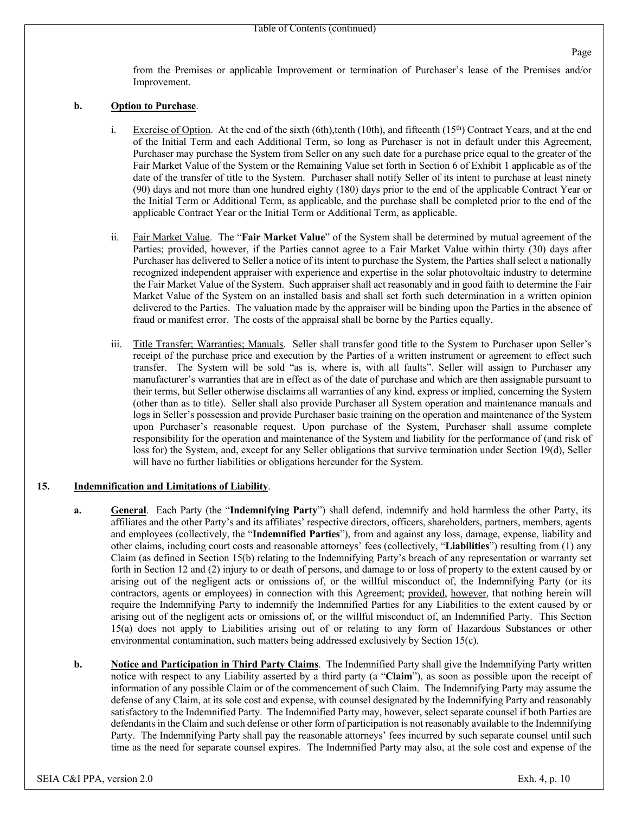from the Premises or applicable Improvement or termination of Purchaser's lease of the Premises and/or Improvement.

#### **b. Option to Purchase**.

- i. Exercise of Option. At the end of the sixth (6th),tenth (10th), and fifteenth (15<sup>th</sup>) Contract Years, and at the end of the Initial Term and each Additional Term, so long as Purchaser is not in default under this Agreement, Purchaser may purchase the System from Seller on any such date for a purchase price equal to the greater of the Fair Market Value of the System or the Remaining Value set forth in Section 6 of Exhibit 1 applicable as of the date of the transfer of title to the System. Purchaser shall notify Seller of its intent to purchase at least ninety (90) days and not more than one hundred eighty (180) days prior to the end of the applicable Contract Year or the Initial Term or Additional Term, as applicable, and the purchase shall be completed prior to the end of the applicable Contract Year or the Initial Term or Additional Term, as applicable.
- ii. Fair Market Value. The "**Fair Market Value**" of the System shall be determined by mutual agreement of the Parties; provided, however, if the Parties cannot agree to a Fair Market Value within thirty (30) days after Purchaser has delivered to Seller a notice of its intent to purchase the System, the Parties shall select a nationally recognized independent appraiser with experience and expertise in the solar photovoltaic industry to determine the Fair Market Value of the System. Such appraiser shall act reasonably and in good faith to determine the Fair Market Value of the System on an installed basis and shall set forth such determination in a written opinion delivered to the Parties. The valuation made by the appraiser will be binding upon the Parties in the absence of fraud or manifest error. The costs of the appraisal shall be borne by the Parties equally.
- iii. Title Transfer; Warranties; Manuals. Seller shall transfer good title to the System to Purchaser upon Seller's receipt of the purchase price and execution by the Parties of a written instrument or agreement to effect such transfer. The System will be sold "as is, where is, with all faults". Seller will assign to Purchaser any manufacturer's warranties that are in effect as of the date of purchase and which are then assignable pursuant to their terms, but Seller otherwise disclaims all warranties of any kind, express or implied, concerning the System (other than as to title). Seller shall also provide Purchaser all System operation and maintenance manuals and logs in Seller's possession and provide Purchaser basic training on the operation and maintenance of the System upon Purchaser's reasonable request. Upon purchase of the System, Purchaser shall assume complete responsibility for the operation and maintenance of the System and liability for the performance of (and risk of loss for) the System, and, except for any Seller obligations that survive termination under Section 19(d), Seller will have no further liabilities or obligations hereunder for the System.

#### **15. Indemnification and Limitations of Liability**.

- **a. General**. Each Party (the "**Indemnifying Party**") shall defend, indemnify and hold harmless the other Party, its affiliates and the other Party's and its affiliates' respective directors, officers, shareholders, partners, members, agents and employees (collectively, the "**Indemnified Parties**"), from and against any loss, damage, expense, liability and other claims, including court costs and reasonable attorneys' fees (collectively, "**Liabilities**") resulting from (1) any Claim (as defined in Section 15(b) relating to the Indemnifying Party's breach of any representation or warranty set forth in Section 12 and (2) injury to or death of persons, and damage to or loss of property to the extent caused by or arising out of the negligent acts or omissions of, or the willful misconduct of, the Indemnifying Party (or its contractors, agents or employees) in connection with this Agreement; provided, however, that nothing herein will require the Indemnifying Party to indemnify the Indemnified Parties for any Liabilities to the extent caused by or arising out of the negligent acts or omissions of, or the willful misconduct of, an Indemnified Party. This Section 15(a) does not apply to Liabilities arising out of or relating to any form of Hazardous Substances or other environmental contamination, such matters being addressed exclusively by Section 15(c).
- **b. Notice and Participation in Third Party Claims**. The Indemnified Party shall give the Indemnifying Party written notice with respect to any Liability asserted by a third party (a "**Claim**"), as soon as possible upon the receipt of information of any possible Claim or of the commencement of such Claim. The Indemnifying Party may assume the defense of any Claim, at its sole cost and expense, with counsel designated by the Indemnifying Party and reasonably satisfactory to the Indemnified Party. The Indemnified Party may, however, select separate counsel if both Parties are defendants in the Claim and such defense or other form of participation is not reasonably available to the Indemnifying Party. The Indemnifying Party shall pay the reasonable attorneys' fees incurred by such separate counsel until such time as the need for separate counsel expires. The Indemnified Party may also, at the sole cost and expense of the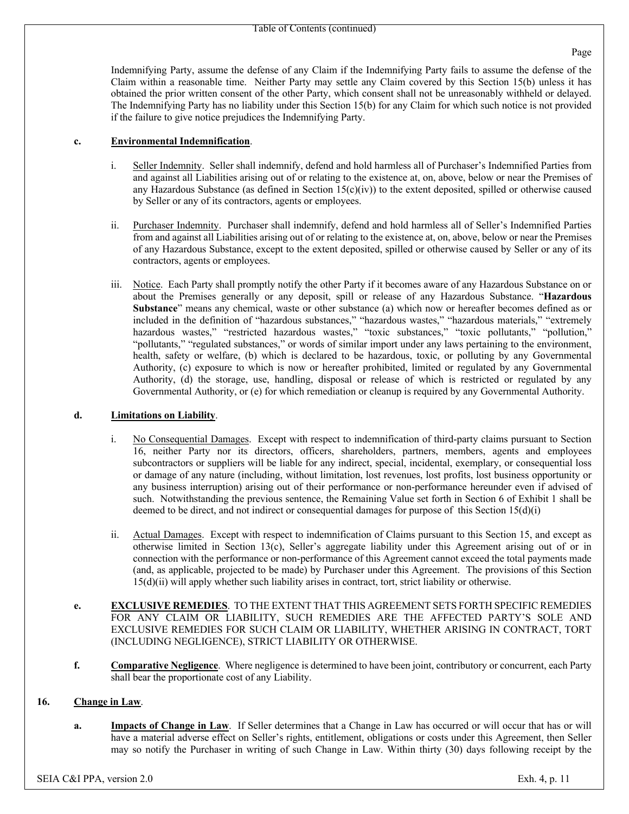Indemnifying Party, assume the defense of any Claim if the Indemnifying Party fails to assume the defense of the Claim within a reasonable time. Neither Party may settle any Claim covered by this Section 15(b) unless it has obtained the prior written consent of the other Party, which consent shall not be unreasonably withheld or delayed. The Indemnifying Party has no liability under this Section 15(b) for any Claim for which such notice is not provided if the failure to give notice prejudices the Indemnifying Party.

## **c. Environmental Indemnification**.

- i. Seller Indemnity. Seller shall indemnify, defend and hold harmless all of Purchaser's Indemnified Parties from and against all Liabilities arising out of or relating to the existence at, on, above, below or near the Premises of any Hazardous Substance (as defined in Section  $15(c)(iv)$ ) to the extent deposited, spilled or otherwise caused by Seller or any of its contractors, agents or employees.
- ii. Purchaser Indemnity. Purchaser shall indemnify, defend and hold harmless all of Seller's Indemnified Parties from and against all Liabilities arising out of or relating to the existence at, on, above, below or near the Premises of any Hazardous Substance, except to the extent deposited, spilled or otherwise caused by Seller or any of its contractors, agents or employees.
- iii. Notice. Each Party shall promptly notify the other Party if it becomes aware of any Hazardous Substance on or about the Premises generally or any deposit, spill or release of any Hazardous Substance. "**Hazardous Substance**" means any chemical, waste or other substance (a) which now or hereafter becomes defined as or included in the definition of "hazardous substances," "hazardous wastes," "hazardous materials," "extremely hazardous wastes," "restricted hazardous wastes," "toxic substances," "toxic pollutants," "pollution," "pollutants," "regulated substances," or words of similar import under any laws pertaining to the environment, health, safety or welfare, (b) which is declared to be hazardous, toxic, or polluting by any Governmental Authority, (c) exposure to which is now or hereafter prohibited, limited or regulated by any Governmental Authority, (d) the storage, use, handling, disposal or release of which is restricted or regulated by any Governmental Authority, or (e) for which remediation or cleanup is required by any Governmental Authority.

## **d. Limitations on Liability**.

- i. No Consequential Damages. Except with respect to indemnification of third-party claims pursuant to Section 16, neither Party nor its directors, officers, shareholders, partners, members, agents and employees subcontractors or suppliers will be liable for any indirect, special, incidental, exemplary, or consequential loss or damage of any nature (including, without limitation, lost revenues, lost profits, lost business opportunity or any business interruption) arising out of their performance or non-performance hereunder even if advised of such. Notwithstanding the previous sentence, the Remaining Value set forth in Section 6 of Exhibit 1 shall be deemed to be direct, and not indirect or consequential damages for purpose of this Section 15(d)(i)
- ii. Actual Damages. Except with respect to indemnification of Claims pursuant to this Section 15, and except as otherwise limited in Section 13(c), Seller's aggregate liability under this Agreement arising out of or in connection with the performance or non-performance of this Agreement cannot exceed the total payments made (and, as applicable, projected to be made) by Purchaser under this Agreement. The provisions of this Section 15(d)(ii) will apply whether such liability arises in contract, tort, strict liability or otherwise.
- **e. EXCLUSIVE REMEDIES**. TO THE EXTENT THAT THIS AGREEMENT SETS FORTH SPECIFIC REMEDIES FOR ANY CLAIM OR LIABILITY, SUCH REMEDIES ARE THE AFFECTED PARTY'S SOLE AND EXCLUSIVE REMEDIES FOR SUCH CLAIM OR LIABILITY, WHETHER ARISING IN CONTRACT, TORT (INCLUDING NEGLIGENCE), STRICT LIABILITY OR OTHERWISE.
- **f. Comparative Negligence**. Where negligence is determined to have been joint, contributory or concurrent, each Party shall bear the proportionate cost of any Liability.

## **16. Change in Law**.

**a. Impacts of Change in Law**. If Seller determines that a Change in Law has occurred or will occur that has or will have a material adverse effect on Seller's rights, entitlement, obligations or costs under this Agreement, then Seller may so notify the Purchaser in writing of such Change in Law. Within thirty (30) days following receipt by the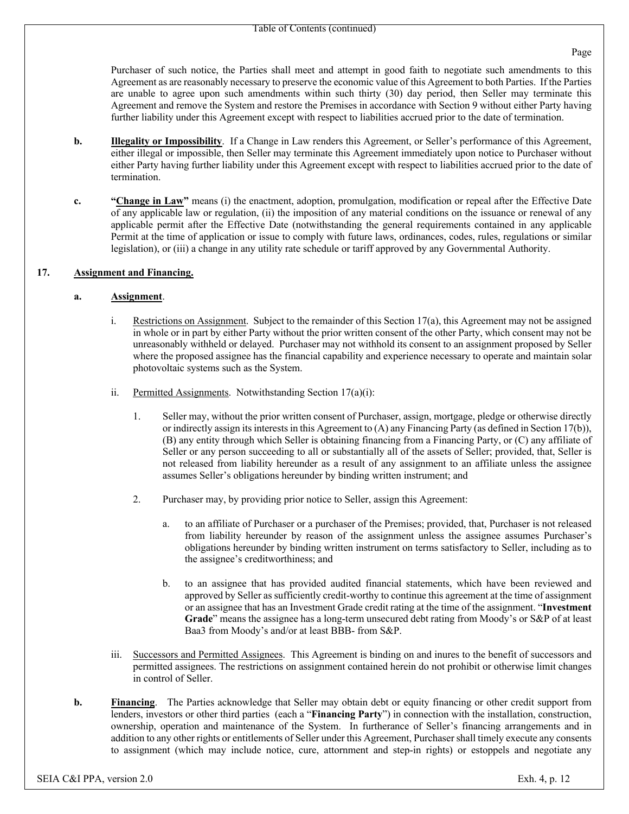Purchaser of such notice, the Parties shall meet and attempt in good faith to negotiate such amendments to this Agreement as are reasonably necessary to preserve the economic value of this Agreement to both Parties. If the Parties are unable to agree upon such amendments within such thirty (30) day period, then Seller may terminate this Agreement and remove the System and restore the Premises in accordance with Section 9 without either Party having further liability under this Agreement except with respect to liabilities accrued prior to the date of termination.

- **b. Illegality or Impossibility**. If a Change in Law renders this Agreement, or Seller's performance of this Agreement, either illegal or impossible, then Seller may terminate this Agreement immediately upon notice to Purchaser without either Party having further liability under this Agreement except with respect to liabilities accrued prior to the date of termination.
- **c. "Change in Law"** means (i) the enactment, adoption, promulgation, modification or repeal after the Effective Date of any applicable law or regulation, (ii) the imposition of any material conditions on the issuance or renewal of any applicable permit after the Effective Date (notwithstanding the general requirements contained in any applicable Permit at the time of application or issue to comply with future laws, ordinances, codes, rules, regulations or similar legislation), or (iii) a change in any utility rate schedule or tariff approved by any Governmental Authority.

#### **17. Assignment and Financing.**

#### **a. Assignment**.

- i. Restrictions on Assignment. Subject to the remainder of this Section 17(a), this Agreement may not be assigned in whole or in part by either Party without the prior written consent of the other Party, which consent may not be unreasonably withheld or delayed. Purchaser may not withhold its consent to an assignment proposed by Seller where the proposed assignee has the financial capability and experience necessary to operate and maintain solar photovoltaic systems such as the System.
- ii. Permitted Assignments. Notwithstanding Section 17(a)(i):
	- 1. Seller may, without the prior written consent of Purchaser, assign, mortgage, pledge or otherwise directly or indirectly assign its interests in this Agreement to (A) any Financing Party (as defined in Section 17(b)), (B) any entity through which Seller is obtaining financing from a Financing Party, or (C) any affiliate of Seller or any person succeeding to all or substantially all of the assets of Seller; provided, that, Seller is not released from liability hereunder as a result of any assignment to an affiliate unless the assignee assumes Seller's obligations hereunder by binding written instrument; and
	- 2. Purchaser may, by providing prior notice to Seller, assign this Agreement:
		- a. to an affiliate of Purchaser or a purchaser of the Premises; provided, that, Purchaser is not released from liability hereunder by reason of the assignment unless the assignee assumes Purchaser's obligations hereunder by binding written instrument on terms satisfactory to Seller, including as to the assignee's creditworthiness; and
		- b. to an assignee that has provided audited financial statements, which have been reviewed and approved by Seller as sufficiently credit-worthy to continue this agreement at the time of assignment or an assignee that has an Investment Grade credit rating at the time of the assignment. "**Investment Grade**" means the assignee has a long-term unsecured debt rating from Moody's or S&P of at least Baa3 from Moody's and/or at least BBB- from S&P.
- iii. Successors and Permitted Assignees. This Agreement is binding on and inures to the benefit of successors and permitted assignees. The restrictions on assignment contained herein do not prohibit or otherwise limit changes in control of Seller.
- **b. Financing**. The Parties acknowledge that Seller may obtain debt or equity financing or other credit support from lenders, investors or other third parties (each a "**Financing Party**") in connection with the installation, construction, ownership, operation and maintenance of the System. In furtherance of Seller's financing arrangements and in addition to any other rights or entitlements of Seller under this Agreement, Purchaser shall timely execute any consents to assignment (which may include notice, cure, attornment and step-in rights) or estoppels and negotiate any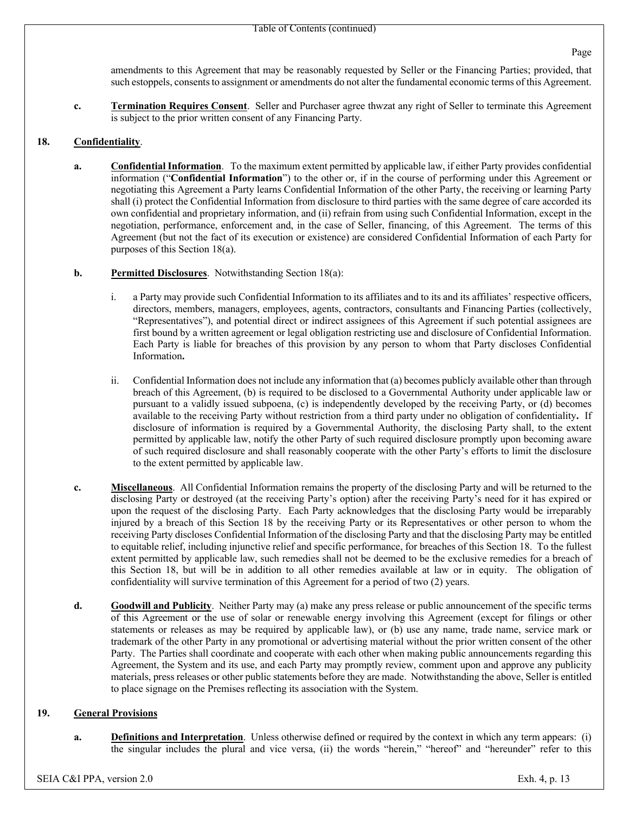amendments to this Agreement that may be reasonably requested by Seller or the Financing Parties; provided, that such estoppels, consents to assignment or amendments do not alter the fundamental economic terms of this Agreement.

**c. Termination Requires Consent**. Seller and Purchaser agree thwzat any right of Seller to terminate this Agreement is subject to the prior written consent of any Financing Party.

# **18. Confidentiality**.

- **a. Confidential Information**. To the maximum extent permitted by applicable law, if either Party provides confidential information ("**Confidential Information**") to the other or, if in the course of performing under this Agreement or negotiating this Agreement a Party learns Confidential Information of the other Party, the receiving or learning Party shall (i) protect the Confidential Information from disclosure to third parties with the same degree of care accorded its own confidential and proprietary information, and (ii) refrain from using such Confidential Information, except in the negotiation, performance, enforcement and, in the case of Seller, financing, of this Agreement. The terms of this Agreement (but not the fact of its execution or existence) are considered Confidential Information of each Party for purposes of this Section 18(a).
- **b. Permitted Disclosures**. Notwithstanding Section 18(a):
	- i. a Party may provide such Confidential Information to its affiliates and to its and its affiliates' respective officers, directors, members, managers, employees, agents, contractors, consultants and Financing Parties (collectively, "Representatives"), and potential direct or indirect assignees of this Agreement if such potential assignees are first bound by a written agreement or legal obligation restricting use and disclosure of Confidential Information. Each Party is liable for breaches of this provision by any person to whom that Party discloses Confidential Information**.**
	- ii. Confidential Information does not include any information that (a) becomes publicly available other than through breach of this Agreement, (b) is required to be disclosed to a Governmental Authority under applicable law or pursuant to a validly issued subpoena, (c) is independently developed by the receiving Party, or (d) becomes available to the receiving Party without restriction from a third party under no obligation of confidentiality**.** If disclosure of information is required by a Governmental Authority, the disclosing Party shall, to the extent permitted by applicable law, notify the other Party of such required disclosure promptly upon becoming aware of such required disclosure and shall reasonably cooperate with the other Party's efforts to limit the disclosure to the extent permitted by applicable law.
- **c. Miscellaneous**. All Confidential Information remains the property of the disclosing Party and will be returned to the disclosing Party or destroyed (at the receiving Party's option) after the receiving Party's need for it has expired or upon the request of the disclosing Party. Each Party acknowledges that the disclosing Party would be irreparably injured by a breach of this Section 18 by the receiving Party or its Representatives or other person to whom the receiving Party discloses Confidential Information of the disclosing Party and that the disclosing Party may be entitled to equitable relief, including injunctive relief and specific performance, for breaches of this Section 18. To the fullest extent permitted by applicable law, such remedies shall not be deemed to be the exclusive remedies for a breach of this Section 18, but will be in addition to all other remedies available at law or in equity. The obligation of confidentiality will survive termination of this Agreement for a period of two (2) years.
- **d. Goodwill and Publicity**. Neither Party may (a) make any press release or public announcement of the specific terms of this Agreement or the use of solar or renewable energy involving this Agreement (except for filings or other statements or releases as may be required by applicable law), or (b) use any name, trade name, service mark or trademark of the other Party in any promotional or advertising material without the prior written consent of the other Party. The Parties shall coordinate and cooperate with each other when making public announcements regarding this Agreement, the System and its use, and each Party may promptly review, comment upon and approve any publicity materials, press releases or other public statements before they are made. Notwithstanding the above, Seller is entitled to place signage on the Premises reflecting its association with the System.

## **19. General Provisions**

**a. Definitions and Interpretation**. Unless otherwise defined or required by the context in which any term appears: (i) the singular includes the plural and vice versa, (ii) the words "herein," "hereof" and "hereunder" refer to this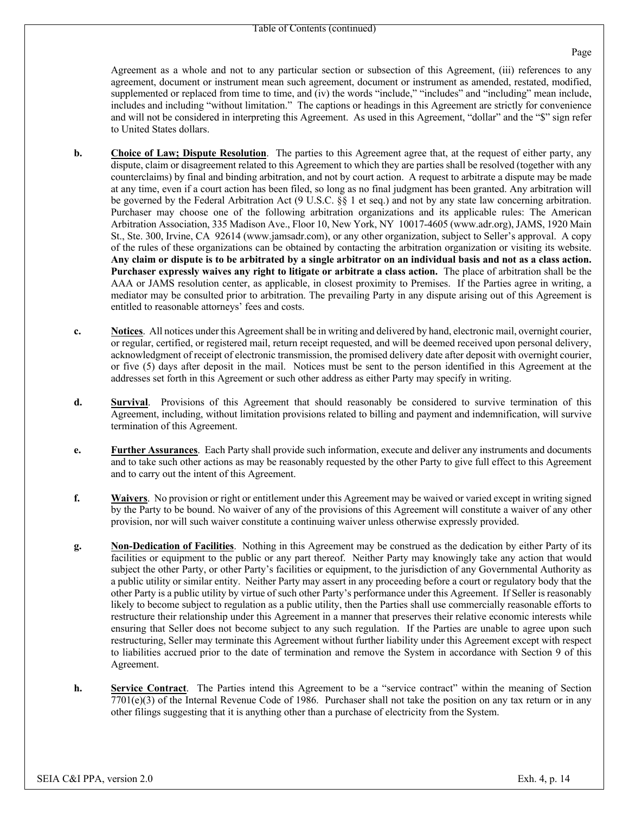Agreement as a whole and not to any particular section or subsection of this Agreement, (iii) references to any agreement, document or instrument mean such agreement, document or instrument as amended, restated, modified, supplemented or replaced from time to time, and (iv) the words "include," "includes" and "including" mean include, includes and including "without limitation." The captions or headings in this Agreement are strictly for convenience and will not be considered in interpreting this Agreement. As used in this Agreement, "dollar" and the "\$" sign refer to United States dollars.

- **b. Choice of Law; Dispute Resolution**. The parties to this Agreement agree that, at the request of either party, any dispute, claim or disagreement related to this Agreement to which they are parties shall be resolved (together with any counterclaims) by final and binding arbitration, and not by court action. A request to arbitrate a dispute may be made at any time, even if a court action has been filed, so long as no final judgment has been granted. Any arbitration will be governed by the Federal Arbitration Act (9 U.S.C. §§ 1 et seq.) and not by any state law concerning arbitration. Purchaser may choose one of the following arbitration organizations and its applicable rules: The American Arbitration Association, 335 Madison Ave., Floor 10, New York, NY 10017-4605 (www.adr.org), JAMS, 1920 Main St., Ste. 300, Irvine, CA 92614 (www.jamsadr.com), or any other organization, subject to Seller's approval. A copy of the rules of these organizations can be obtained by contacting the arbitration organization or visiting its website. **Any claim or dispute is to be arbitrated by a single arbitrator on an individual basis and not as a class action. Purchaser expressly waives any right to litigate or arbitrate a class action.** The place of arbitration shall be the AAA or JAMS resolution center, as applicable, in closest proximity to Premises. If the Parties agree in writing, a mediator may be consulted prior to arbitration. The prevailing Party in any dispute arising out of this Agreement is entitled to reasonable attorneys' fees and costs.
- **c. Notices**. All notices under this Agreement shall be in writing and delivered by hand, electronic mail, overnight courier, or regular, certified, or registered mail, return receipt requested, and will be deemed received upon personal delivery, acknowledgment of receipt of electronic transmission, the promised delivery date after deposit with overnight courier, or five (5) days after deposit in the mail. Notices must be sent to the person identified in this Agreement at the addresses set forth in this Agreement or such other address as either Party may specify in writing.
- **d. Survival**. Provisions of this Agreement that should reasonably be considered to survive termination of this Agreement, including, without limitation provisions related to billing and payment and indemnification, will survive termination of this Agreement.
- **e. Further Assurances**. Each Party shall provide such information, execute and deliver any instruments and documents and to take such other actions as may be reasonably requested by the other Party to give full effect to this Agreement and to carry out the intent of this Agreement.
- **f. Waivers**. No provision or right or entitlement under this Agreement may be waived or varied except in writing signed by the Party to be bound. No waiver of any of the provisions of this Agreement will constitute a waiver of any other provision, nor will such waiver constitute a continuing waiver unless otherwise expressly provided.
- **g. Non-Dedication of Facilities**. Nothing in this Agreement may be construed as the dedication by either Party of its facilities or equipment to the public or any part thereof. Neither Party may knowingly take any action that would subject the other Party, or other Party's facilities or equipment, to the jurisdiction of any Governmental Authority as a public utility or similar entity. Neither Party may assert in any proceeding before a court or regulatory body that the other Party is a public utility by virtue of such other Party's performance under this Agreement. If Seller is reasonably likely to become subject to regulation as a public utility, then the Parties shall use commercially reasonable efforts to restructure their relationship under this Agreement in a manner that preserves their relative economic interests while ensuring that Seller does not become subject to any such regulation. If the Parties are unable to agree upon such restructuring, Seller may terminate this Agreement without further liability under this Agreement except with respect to liabilities accrued prior to the date of termination and remove the System in accordance with Section 9 of this Agreement.
- **h. Service Contract**. The Parties intend this Agreement to be a "service contract" within the meaning of Section  $7701(e)(3)$  of the Internal Revenue Code of 1986. Purchaser shall not take the position on any tax return or in any other filings suggesting that it is anything other than a purchase of electricity from the System.